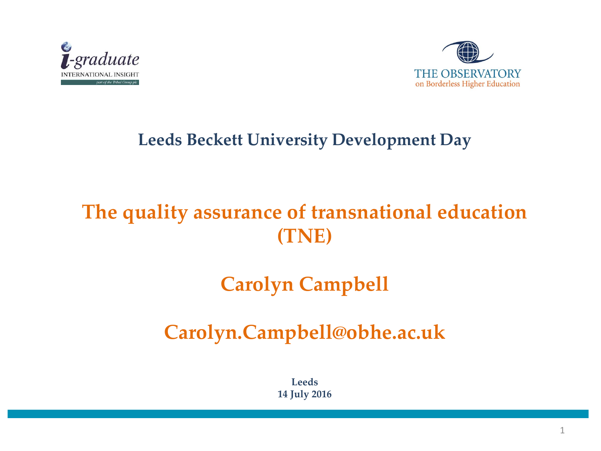



#### **Leeds Beckett University Development Day**

#### **The quality assurance of transnational education (TNE)**

#### **Carolyn Campbell**

#### **Carolyn.Campbell@obhe.ac.uk**

**Leeds 14 July 2016**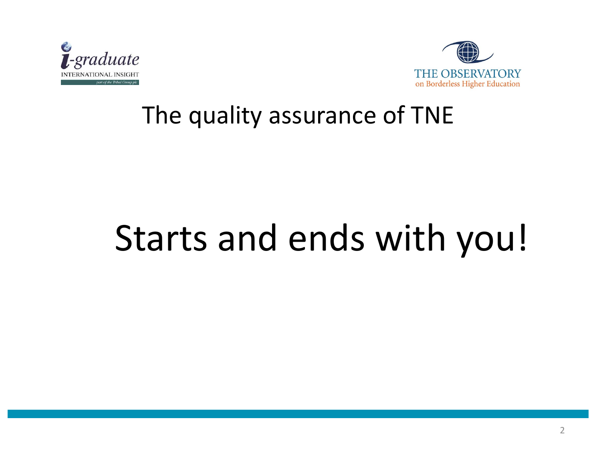



#### The quality assurance of TNE

# Starts and ends with you!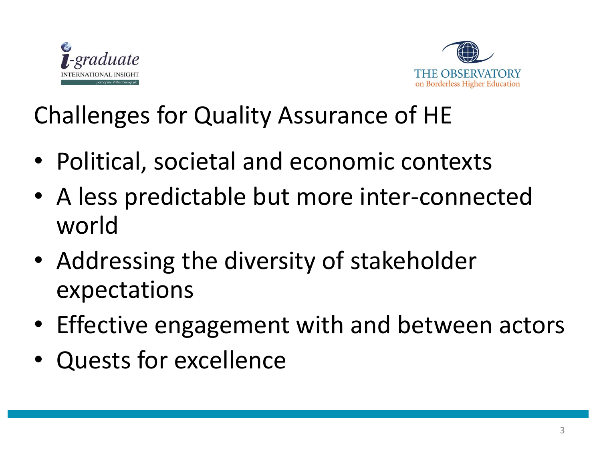



### Challenges for Quality Assurance of HE

- Political, societal and economic contexts
- A less predictable but more inter-connected world
- Addressing the diversity of stakeholder expectations
- Effective engagement with and between actors
- Quests for excellence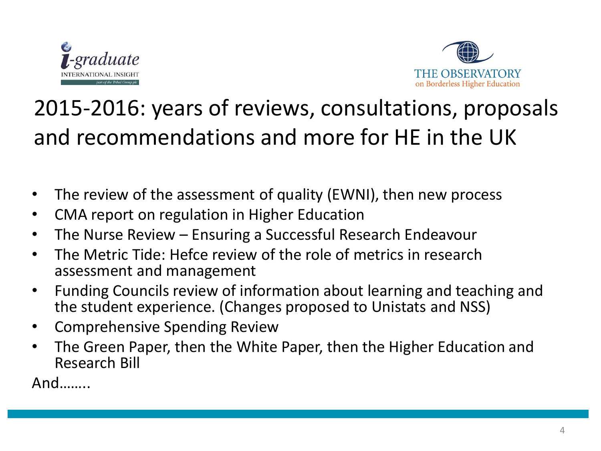



### 2015-2016: years of reviews, consultations, proposals and recommendations and more for HE in the UK

- The review of the assessment of quality (EWNI), then new process
- CMA report on regulation in Higher Education
- The Nurse Review Ensuring a Successful Research Endeavour
- The Metric Tide: Hefce review of the role of metrics in research assessment and management
- Funding Councils review of information about learning and teaching and the student experience. (Changes proposed to Unistats and NSS)
- Comprehensive Spending Review
- The Green Paper, then the White Paper, then the Higher Education and Research Bill

And……..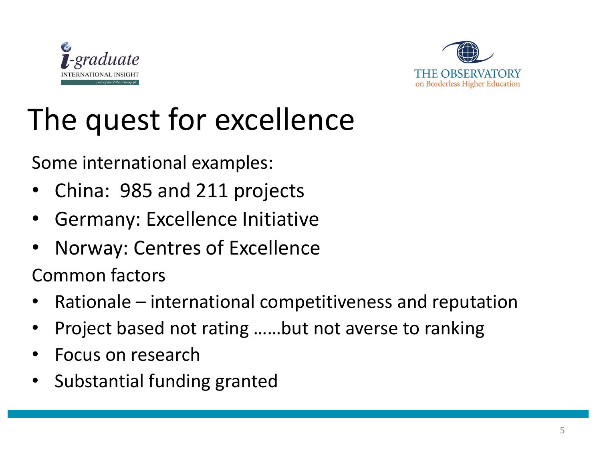



# The quest for excellence

Some international examples:

- China: 985 and 211 projects
- Germany: Excellence Initiative
- Norway: Centres of Excellence

Common factors

- Rationale international competitiveness and reputation
- Project based not rating ……but not averse to ranking
- Focus on research
- Substantial funding granted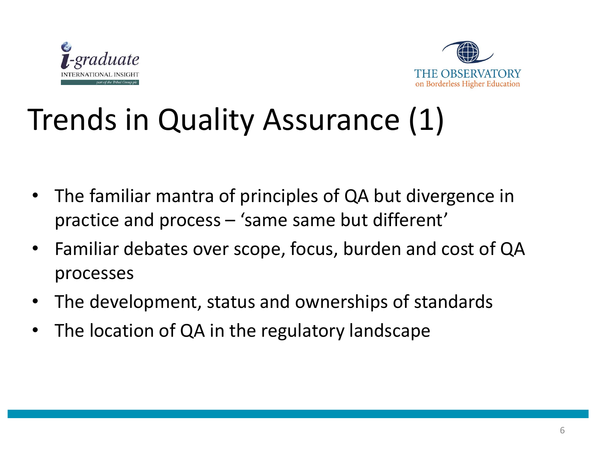



# Trends in Quality Assurance (1)

- The familiar mantra of principles of QA but divergence in practice and process – 'same same but different'
- Familiar debates over scope, focus, burden and cost of QA processes
- The development, status and ownerships of standards
- The location of QA in the regulatory landscape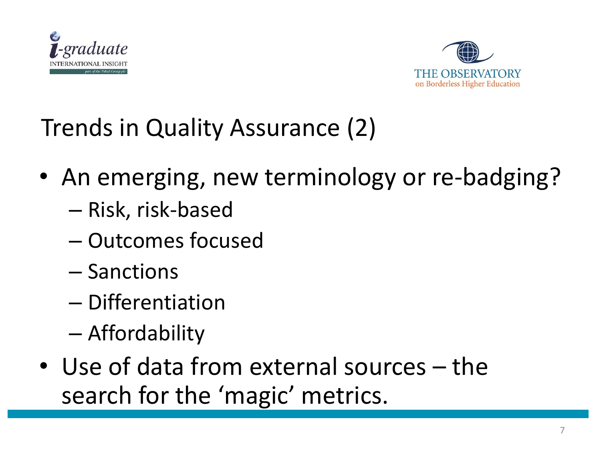



Trends in Quality Assurance (2)

- An emerging, new terminology or re-badging?
	- Risk, risk-based
	- Outcomes focused
	- Sanctions
	- Differentiation
	- Affordability
- Use of data from external sources the search for the 'magic' metrics.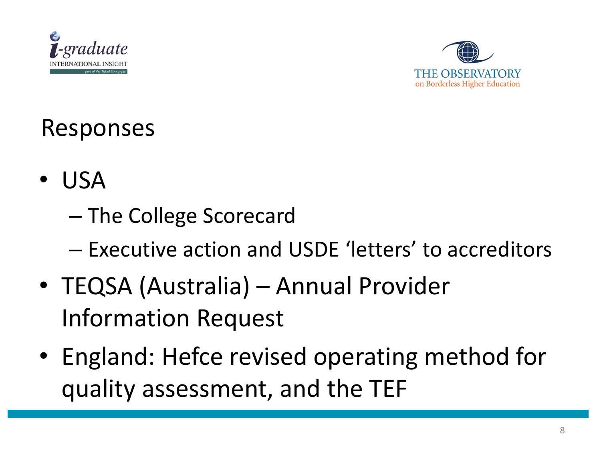



### Responses

- USA
	- The College Scorecard
	- Executive action and USDE 'letters' to accreditors
- TEQSA (Australia) Annual Provider Information Request
- England: Hefce revised operating method for quality assessment, and the TEF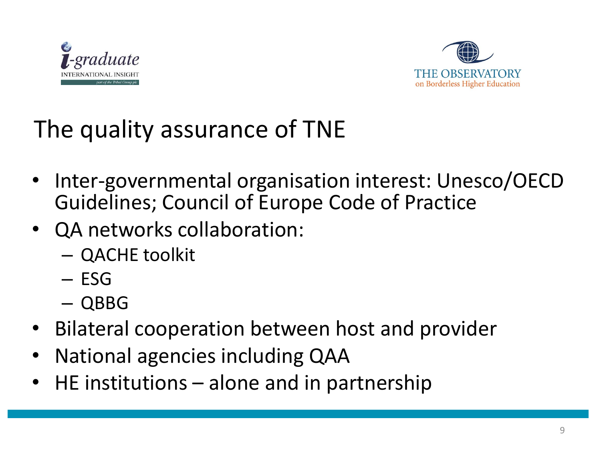



## The quality assurance of TNE

- Inter-governmental organisation interest: Unesco/OECD Guidelines; Council of Europe Code of Practice
- QA networks collaboration:
	- QACHE toolkit
	- ESG
	- QBBG
- Bilateral cooperation between host and provider
- National agencies including QAA
- $\mathsf{H}\mathsf{E}$  institutions alone and in partnership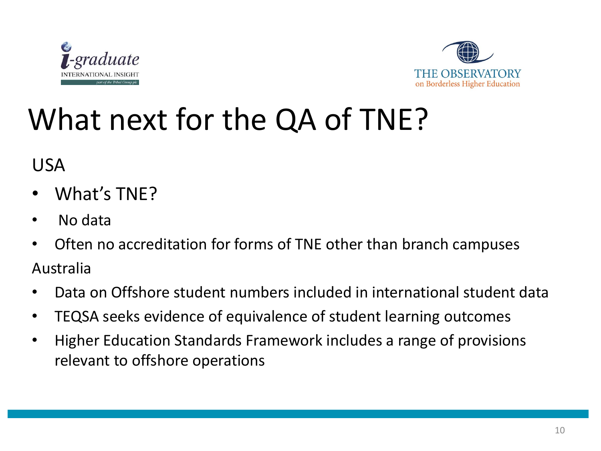



# What next for the QA of TNE?

USA

- What's TNE?
- No data
- Often no accreditation for forms of TNE other than branch campuses Australia
- Data on Offshore student numbers included in international student data
- TEQSA seeks evidence of equivalence of student learning outcomes
- Higher Education Standards Framework includes a range of provisions relevant to offshore operations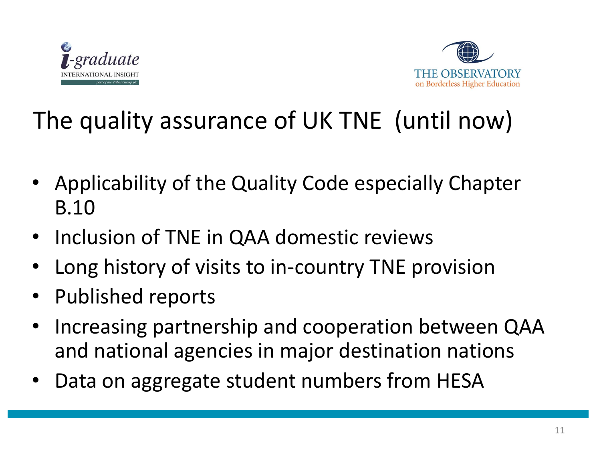



## The quality assurance of UK TNE (until now)

- Applicability of the Quality Code especially Chapter B.10
- Inclusion of TNE in QAA domestic reviews
- Long history of visits to in-country TNE provision
- Published reports
- Increasing partnership and cooperation between QAA and national agencies in major destination nations
- Data on aggregate student numbers from HESA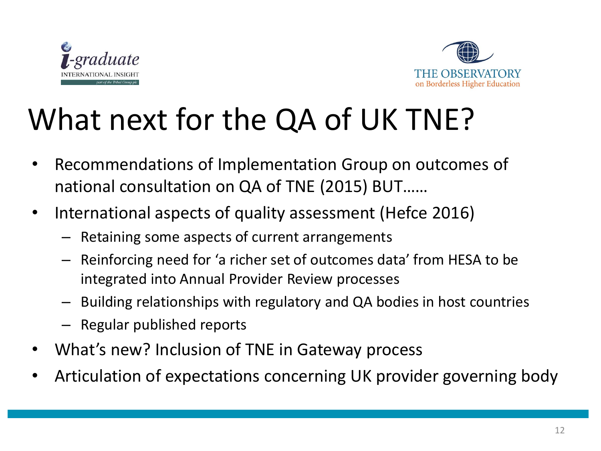



# What next for the QA of UK TNE?

- Recommendations of Implementation Group on outcomes of national consultation on QA of TNE (2015) BUT……
- International aspects of quality assessment (Hefce 2016)
	- Retaining some aspects of current arrangements
	- Reinforcing need for 'a richer set of outcomes data' from HESA to be integrated into Annual Provider Review processes
	- Building relationships with regulatory and QA bodies in host countries
	- Regular published reports
- What's new? Inclusion of TNE in Gateway process
- Articulation of expectations concerning UK provider governing body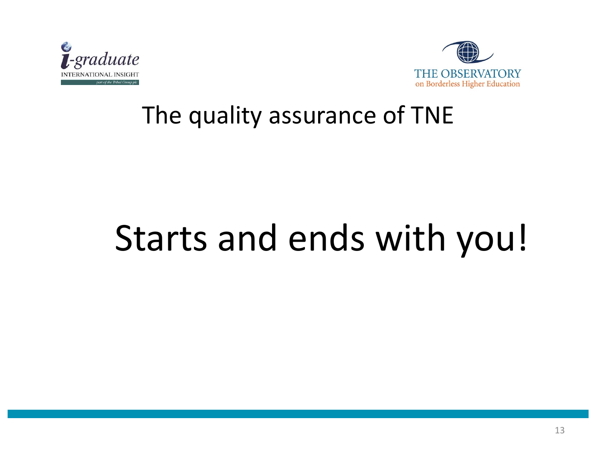



#### The quality assurance of TNE

# Starts and ends with you!